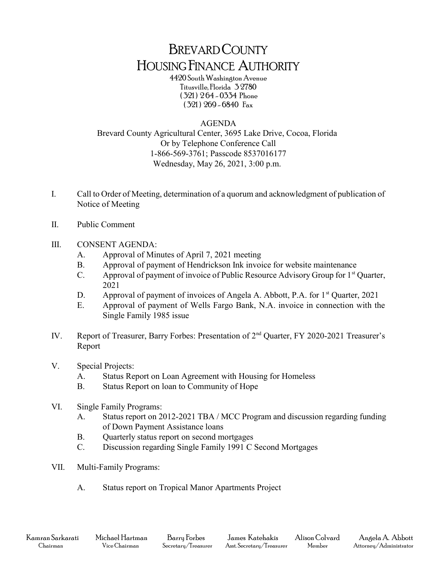## BREVARD COUNTY HOUSING FINANCE AUTHORITY

4420 South Washington Avenue Titusville, Florida 3 2780 ( 321 ) 2 64 - 0334 Phone ( 321 ) 269 - 6840 Fax

## AGENDA

Brevard County Agricultural Center, 3695 Lake Drive, Cocoa, Florida Or by Telephone Conference Call 1-866-569-3761; Passcode 8537016177 Wednesday, May 26, 2021, 3:00 p.m.

- I. Call to Order of Meeting, determination of a quorum and acknowledgment of publication of Notice of Meeting
- II. Public Comment
- III. CONSENT AGENDA:
	- A. Approval of Minutes of April 7, 2021 meeting
	- B. Approval of payment of Hendrickson Ink invoice for website maintenance
	- C. Approval of payment of invoice of Public Resource Advisory Group for  $1<sup>st</sup>$  Quarter, 2021
	- D. Approval of payment of invoices of Angela A. Abbott, P.A. for  $1<sup>st</sup>$  Quarter, 2021
	- E. Approval of payment of Wells Fargo Bank, N.A. invoice in connection with the Single Family 1985 issue
- IV. Report of Treasurer, Barry Forbes: Presentation of 2nd Quarter, FY 2020-2021 Treasurer's Report
- V. Special Projects:
	- A. Status Report on Loan Agreement with Housing for Homeless
	- B. Status Report on loan to Community of Hope
- VI. Single Family Programs:
	- A. Status report on 2012-2021 TBA / MCC Program and discussion regarding funding of Down Payment Assistance loans
	- B. Quarterly status report on second mortgages
	- C. Discussion regarding Single Family 1991 C Second Mortgages
- VII. Multi-Family Programs:
	- A. Status report on Tropical Manor Apartments Project